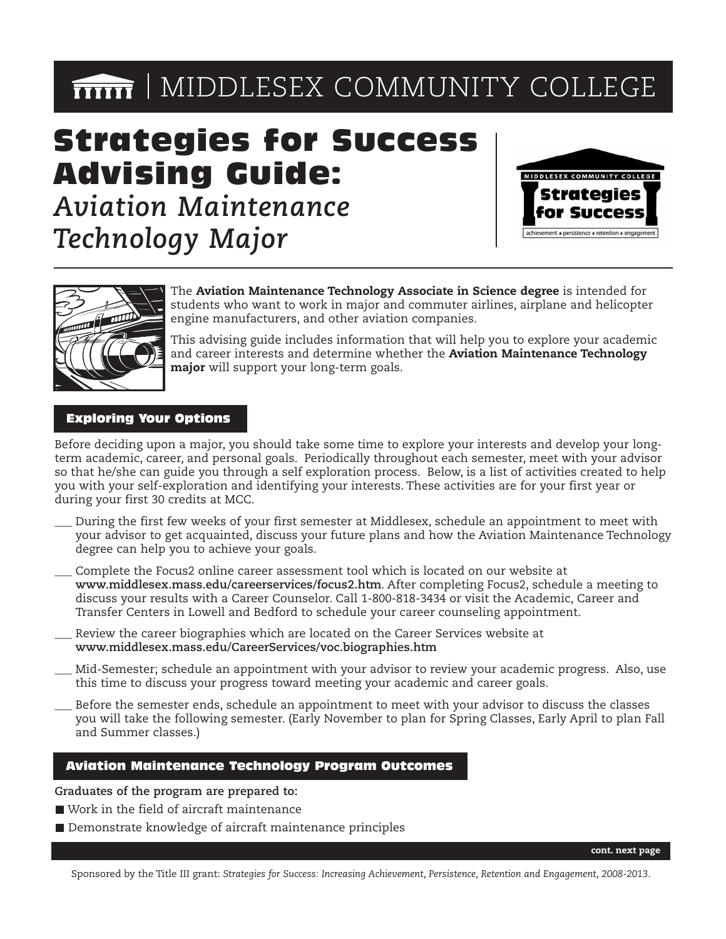# **MIDDLESEX COMMUNITY COLLEGE**

## Strategies for Success Advising Guide:

*Aviation Maintenance Technology Major*





The **Aviation Maintenance Technology Associate in Science degree** is intended for students who want to work in major and commuter airlines, airplane and helicopter engine manufacturers, and other aviation companies.

This advising guide includes information that will help you to explore your academic and career interests and determine whether the **Aviation Maintenance Technology major** will support your long-term goals.

#### Exploring Your Options

Before deciding upon a major, you should take some time to explore your interests and develop your longterm academic, career, and personal goals. Periodically throughout each semester, meet with your advisor so that he/she can guide you through a self exploration process. Below, is a list of activities created to help you with your self-exploration and identifying your interests. These activities are for your first year or during your first 30 credits at MCC.

- During the first few weeks of your first semester at Middlesex, schedule an appointment to meet with your advisor to get acquainted, discuss your future plans and how the Aviation Maintenance Technology degree can help you to achieve your goals.
- Complete the Focus2 online career assessment tool which is located on our website at **www.middlesex.mass.edu/careerservices/focus2.htm**. After completing Focus2, schedule a meeting to discuss your results with a Career Counselor. Call 1-800-818-3434 or visit the Academic, Career and Transfer Centers in Lowell and Bedford to schedule your career counseling appointment.
- \_\_\_ Review the career biographies which are located on the Career Services website at **www.middlesex.mass.edu/CareerServices/voc.biographies.htm**
- \_\_\_ Mid-Semester; schedule an appointment with your advisor to review your academic progress. Also, use this time to discuss your progress toward meeting your academic and career goals.
- Before the semester ends, schedule an appointment to meet with your advisor to discuss the classes you will take the following semester. (Early November to plan for Spring Classes, Early April to plan Fall and Summer classes.)

#### Aviation Maintenance Technology Program Outcomes

**Graduates of the program are prepared to:**

- Work in the field of aircraft maintenance
- Demonstrate knowledge of aircraft maintenance principles

**cont. next page**

Sponsored by the Title III grant: *Strategies for Success: Increasing Achievement, Persistence, Retention and Engagement, 2008-2013*.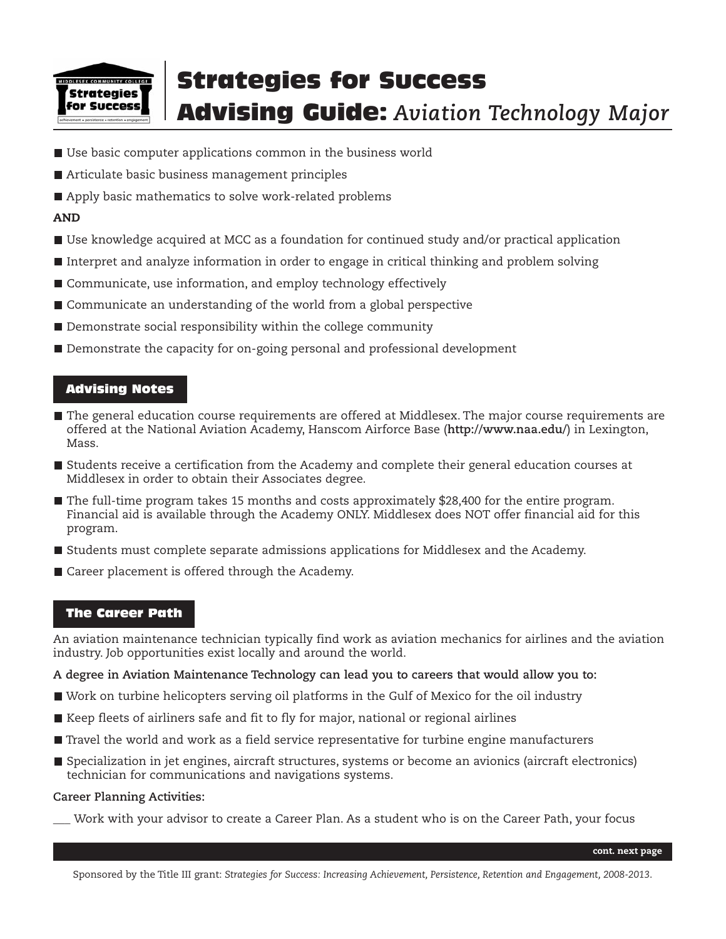

## Strategies for Success Advising Guide: *Aviation Technology Major*

- Use basic computer applications common in the business world
- Articulate basic business management principles
- Apply basic mathematics to solve work-related problems

#### **AND**

- Use knowledge acquired at MCC as a foundation for continued study and/or practical application
- Interpret and analyze information in order to engage in critical thinking and problem solving
- Communicate, use information, and employ technology effectively
- Communicate an understanding of the world from a global perspective
- Demonstrate social responsibility within the college community
- Demonstrate the capacity for on-going personal and professional development

#### Advising Notes

- The general education course requirements are offered at Middlesex. The major course requirements are offered at the National Aviation Academy, Hanscom Airforce Base (**http://www.naa.edu/**) in Lexington, Mass.
- Students receive a certification from the Academy and complete their general education courses at Middlesex in order to obtain their Associates degree.
- The full-time program takes 15 months and costs approximately \$28,400 for the entire program. Financial aid is available through the Academy ONLY. Middlesex does NOT offer financial aid for this program.
- **Students must complete separate admissions applications for Middlesex and the Academy.**
- Career placement is offered through the Academy.

#### The Career Path

An aviation maintenance technician typically find work as aviation mechanics for airlines and the aviation industry. Job opportunities exist locally and around the world.

**A degree in Aviation Maintenance Technology can lead you to careers that would allow you to:**

- Work on turbine helicopters serving oil platforms in the Gulf of Mexico for the oil industry
- Keep fleets of airliners safe and fit to fly for major, national or regional airlines
- Travel the world and work as a field service representative for turbine engine manufacturers
- Specialization in jet engines, aircraft structures, systems or become an avionics (aircraft electronics) technician for communications and navigations systems.

#### **Career Planning Activities:**

Work with your advisor to create a Career Plan. As a student who is on the Career Path, your focus